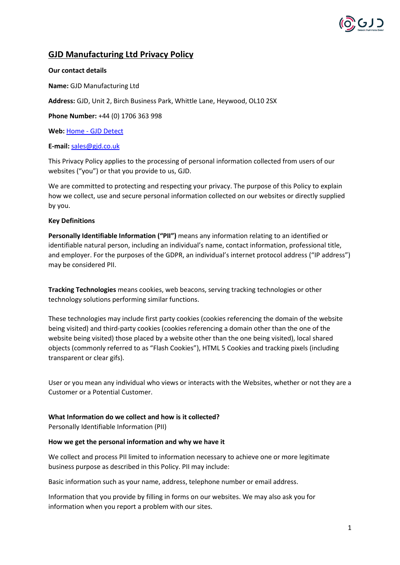# **GJD Manufacturing Ltd Privacy Policy**

### **Our contact details**

**Name:** GJD Manufacturing Ltd

**Address:** GJD, Unit 2, Birch Business Park, Whittle Lane, Heywood, OL10 2SX

**Phone Number:** +44 (0) 1706 363 998

**Web:** Home - [GJD Detect](https://www.gjd.co.uk/)

# **E-mail:** [sales@gjd.co.uk](mailto:sales@gjd.co.uk)

This Privacy Policy applies to the processing of personal information collected from users of our websites ("you") or that you provide to us, GJD.

We are committed to protecting and respecting your privacy. The purpose of this Policy to explain how we collect, use and secure personal information collected on our websites or directly supplied by you.

# **Key Definitions**

**Personally Identifiable Information ("PII")** means any information relating to an identified or identifiable natural person, including an individual's name, contact information, professional title, and employer. For the purposes of the GDPR, an individual's internet protocol address ("IP address") may be considered PII.

**Tracking Technologies** means cookies, web beacons, serving tracking technologies or other technology solutions performing similar functions.

These technologies may include first party cookies (cookies referencing the domain of the website being visited) and third-party cookies (cookies referencing a domain other than the one of the website being visited) those placed by a website other than the one being visited), local shared objects (commonly referred to as "Flash Cookies"), HTML 5 Cookies and tracking pixels (including transparent or clear gifs).

User or you mean any individual who views or interacts with the Websites, whether or not they are a Customer or a Potential Customer.

# **What Information do we collect and how is it collected?**

Personally Identifiable Information (PII)

#### **How we get the personal information and why we have it**

We collect and process PII limited to information necessary to achieve one or more legitimate business purpose as described in this Policy. PII may include:

Basic information such as your name, address, telephone number or email address.

Information that you provide by filling in forms on our websites. We may also ask you for information when you report a problem with our sites.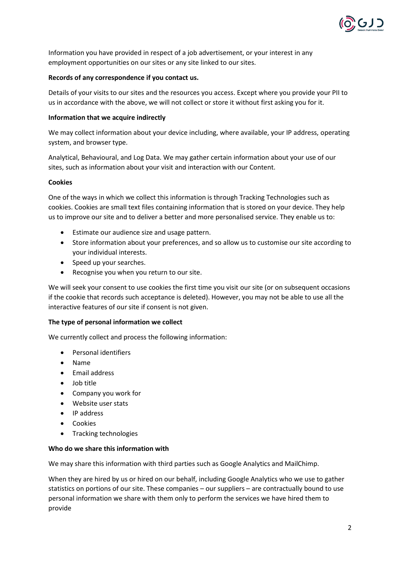

Information you have provided in respect of a job advertisement, or your interest in any employment opportunities on our sites or any site linked to our sites.

### **Records of any correspondence if you contact us.**

Details of your visits to our sites and the resources you access. Except where you provide your PII to us in accordance with the above, we will not collect or store it without first asking you for it.

### **Information that we acquire indirectly**

We may collect information about your device including, where available, your IP address, operating system, and browser type.

Analytical, Behavioural, and Log Data. We may gather certain information about your use of our sites, such as information about your visit and interaction with our Content.

#### **Cookies**

One of the ways in which we collect this information is through Tracking Technologies such as cookies. Cookies are small text files containing information that is stored on your device. They help us to improve our site and to deliver a better and more personalised service. They enable us to:

- Estimate our audience size and usage pattern.
- Store information about your preferences, and so allow us to customise our site according to your individual interests.
- Speed up your searches.
- Recognise you when you return to our site.

We will seek your consent to use cookies the first time you visit our site (or on subsequent occasions if the cookie that records such acceptance is deleted). However, you may not be able to use all the interactive features of our site if consent is not given.

#### **The type of personal information we collect**

We currently collect and process the following information:

- Personal identifiers
- Name
- Email address
- Job title
- Company you work for
- Website user stats
- IP address
- Cookies
- Tracking technologies

#### **Who do we share this information with**

We may share this information with third parties such as Google Analytics and MailChimp.

When they are hired by us or hired on our behalf, including Google Analytics who we use to gather statistics on portions of our site. These companies – our suppliers – are contractually bound to use personal information we share with them only to perform the services we have hired them to provide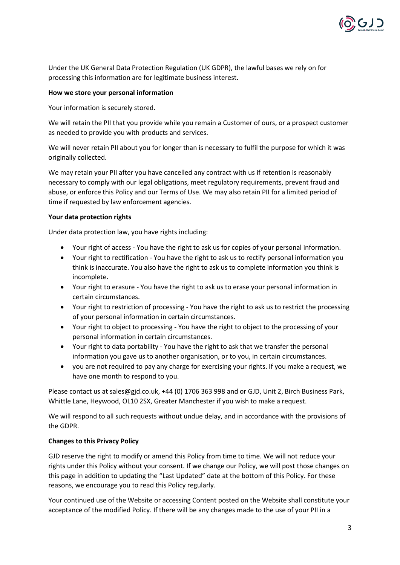

Under the UK General Data Protection Regulation (UK GDPR), the lawful bases we rely on for processing this information are for legitimate business interest.

# **How we store your personal information**

Your information is securely stored.

We will retain the PII that you provide while you remain a Customer of ours, or a prospect customer as needed to provide you with products and services.

We will never retain PII about you for longer than is necessary to fulfil the purpose for which it was originally collected.

We may retain your PII after you have cancelled any contract with us if retention is reasonably necessary to comply with our legal obligations, meet regulatory requirements, prevent fraud and abuse, or enforce this Policy and our Terms of Use. We may also retain PII for a limited period of time if requested by law enforcement agencies.

# **Your data protection rights**

Under data protection law, you have rights including:

- Your right of access You have the right to ask us for copies of your personal information.
- Your right to rectification You have the right to ask us to rectify personal information you think is inaccurate. You also have the right to ask us to complete information you think is incomplete.
- Your right to erasure You have the right to ask us to erase your personal information in certain circumstances.
- Your right to restriction of processing You have the right to ask us to restrict the processing of your personal information in certain circumstances.
- Your right to object to processing You have the right to object to the processing of your personal information in certain circumstances.
- Your right to data portability You have the right to ask that we transfer the personal information you gave us to another organisation, or to you, in certain circumstances.
- you are not required to pay any charge for exercising your rights. If you make a request, we have one month to respond to you.

Please contact us at sales@gjd.co.uk, +44 (0) 1706 363 998 and or GJD, Unit 2, Birch Business Park, Whittle Lane, Heywood, OL10 2SX, Greater Manchester if you wish to make a request.

We will respond to all such requests without undue delay, and in accordance with the provisions of the GDPR.

#### **Changes to this Privacy Policy**

GJD reserve the right to modify or amend this Policy from time to time. We will not reduce your rights under this Policy without your consent. If we change our Policy, we will post those changes on this page in addition to updating the "Last Updated" date at the bottom of this Policy. For these reasons, we encourage you to read this Policy regularly.

Your continued use of the Website or accessing Content posted on the Website shall constitute your acceptance of the modified Policy. If there will be any changes made to the use of your PII in a